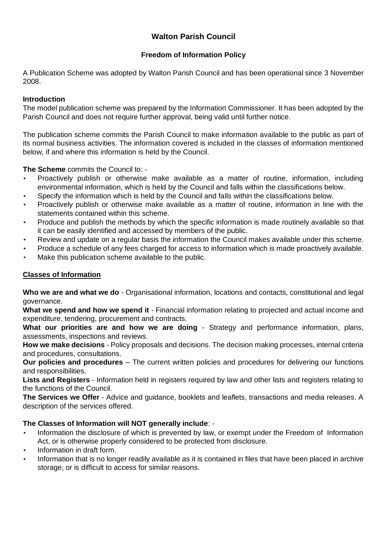# **Walton Parish Council**

## **Freedom of Information Policy**

A Publication Scheme was adopted by Walton Parish Council and has been operational since 3 November 2008.

#### **Introduction**

The model publication scheme was prepared by the Information Commissioner. It has been adopted by the Parish Council and does not require further approval, being valid until further notice.

The publication scheme commits the Parish Council to make information available to the public as part of its normal business activities. The information covered is included in the classes of information mentioned below, if and where this information is held by the Council.

**The Scheme** commits the Council to: -

- Proactively publish or otherwise make available as a matter of routine, information, including environmental information, which is held by the Council and falls within the classifications below.
- Specify the information which is held by the Council and falls within the classifications below.
- Proactively publish or otherwise make available as a matter of routine, information in line with the statements contained within this scheme.
- Produce and publish the methods by which the specific information is made routinely available so that it can be easily identified and accessed by members of the public.
- Review and update on a regular basis the information the Council makes available under this scheme.
- Produce a schedule of any fees charged for access to information which is made proactively available.
- Make this publication scheme available to the public.

#### **Classes of Information**

**Who we are and what we do** - Organisational information, locations and contacts, constitutional and legal governance.

**What we spend and how we spend it** - Financial information relating to projected and actual income and expenditure, tendering, procurement and contracts.

What our priorities are and how we are doing - Strategy and performance information, plans, assessments, inspections and reviews.

**How we make decisions** - Policy proposals and decisions. The decision making processes, internal criteria and procedures, consultations.

**Our policies and procedures** – The current written policies and procedures for delivering our functions and responsibilities.

**Lists and Registers** - Information held in registers required by law and other lists and registers relating to the functions of the Council.

**The Services we Offer** - Advice and guidance, booklets and leaflets, transactions and media releases. A description of the services offered.

## **The Classes of Information will NOT generally include**: -

- Information the disclosure of which is prevented by law, or exempt under the Freedom of Information Act, or is otherwise properly considered to be protected from disclosure.
- Information in draft form.
- Information that is no longer readily available as it is contained in files that have been placed in archive storage, or is difficult to access for similar reasons.